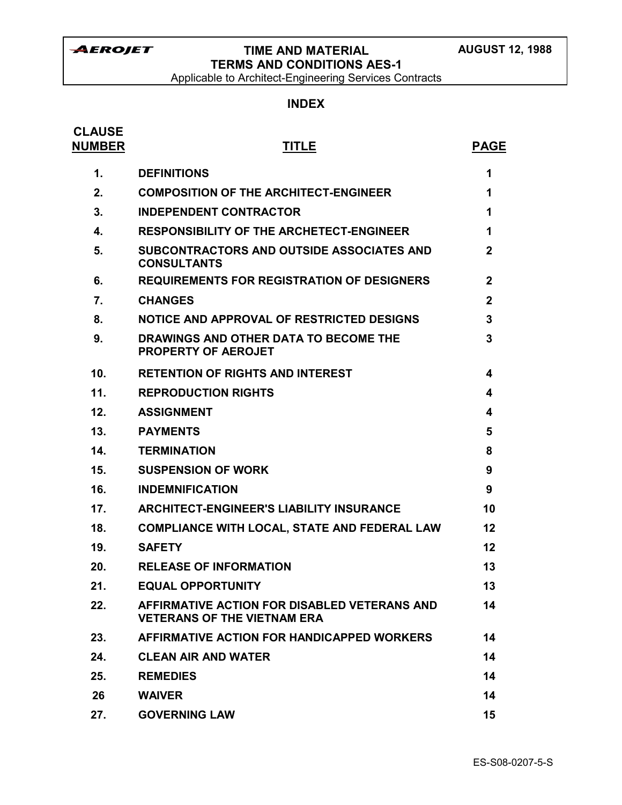Applicable to Architect-Engineering Services Contracts

# **INDEX**

| <b>CLAUSE</b><br><b>NUMBER</b> | <b>TITLE</b>                                                                       | <b>PAGE</b>  |
|--------------------------------|------------------------------------------------------------------------------------|--------------|
| 1.                             | <b>DEFINITIONS</b>                                                                 | 1            |
| 2.                             | <b>COMPOSITION OF THE ARCHITECT-ENGINEER</b>                                       | 1            |
| 3.                             | <b>INDEPENDENT CONTRACTOR</b>                                                      | 1            |
| 4.                             | <b>RESPONSIBILITY OF THE ARCHETECT-ENGINEER</b>                                    | 1            |
| 5.                             | SUBCONTRACTORS AND OUTSIDE ASSOCIATES AND<br><b>CONSULTANTS</b>                    | $\mathbf{2}$ |
| 6.                             | <b>REQUIREMENTS FOR REGISTRATION OF DESIGNERS</b>                                  | $\mathbf{2}$ |
| 7.                             | <b>CHANGES</b>                                                                     | $\mathbf{2}$ |
| 8.                             | NOTICE AND APPROVAL OF RESTRICTED DESIGNS                                          | 3            |
| 9.                             | DRAWINGS AND OTHER DATA TO BECOME THE<br><b>PROPERTY OF AEROJET</b>                | 3            |
| 10.                            | <b>RETENTION OF RIGHTS AND INTEREST</b>                                            | 4            |
| 11.                            | <b>REPRODUCTION RIGHTS</b>                                                         | 4            |
| 12.                            | <b>ASSIGNMENT</b>                                                                  | 4            |
| 13.                            | <b>PAYMENTS</b>                                                                    | 5            |
| 14.                            | <b>TERMINATION</b>                                                                 | 8            |
| 15.                            | <b>SUSPENSION OF WORK</b>                                                          | 9            |
| 16.                            | <b>INDEMNIFICATION</b>                                                             | 9            |
| 17.                            | <b>ARCHITECT-ENGINEER'S LIABILITY INSURANCE</b>                                    | 10           |
| 18.                            | <b>COMPLIANCE WITH LOCAL, STATE AND FEDERAL LAW</b>                                | 12           |
| 19.                            | <b>SAFETY</b>                                                                      | 12           |
| 20.                            | <b>RELEASE OF INFORMATION</b>                                                      | 13           |
| 21.                            | <b>EQUAL OPPORTUNITY</b>                                                           | 13           |
| 22.                            | AFFIRMATIVE ACTION FOR DISABLED VETERANS AND<br><b>VETERANS OF THE VIETNAM ERA</b> | 14           |
| 23.                            | AFFIRMATIVE ACTION FOR HANDICAPPED WORKERS                                         | 14           |
| 24.                            | <b>CLEAN AIR AND WATER</b>                                                         | 14           |
| 25.                            | <b>REMEDIES</b>                                                                    | 14           |
| 26                             | <b>WAIVER</b>                                                                      | 14           |
| 27.                            | <b>GOVERNING LAW</b>                                                               | 15           |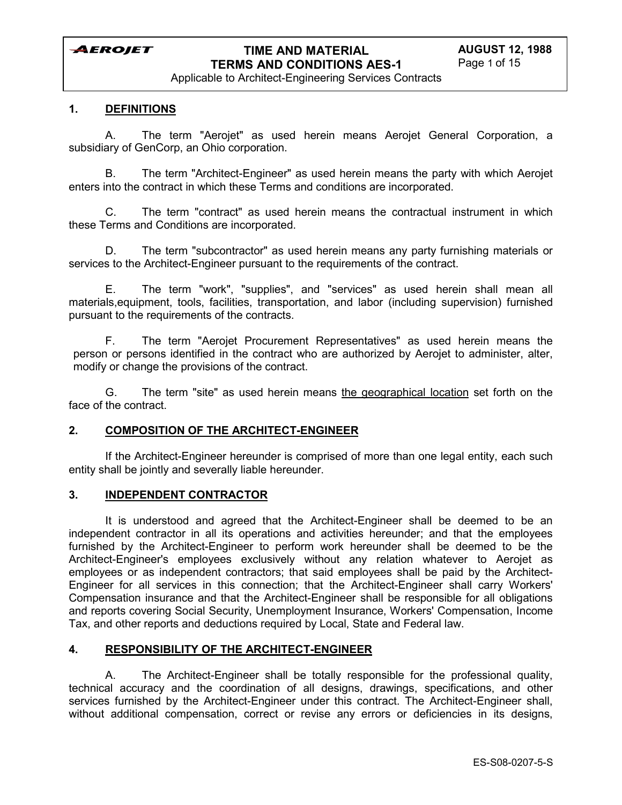Applicable to Architect-Engineering Services Contracts

### **1. DEFINITIONS**

A. The term "Aerojet" as used herein means Aerojet General Corporation, a subsidiary of GenCorp, an Ohio corporation.

B. The term "Architect-Engineer" as used herein means the party with which Aerojet enters into the contract in which these Terms and conditions are incorporated.

C. The term "contract" as used herein means the contractual instrument in which these Terms and Conditions are incorporated.

D. The term "subcontractor" as used herein means any party furnishing materials or services to the Architect-Engineer pursuant to the requirements of the contract.

E. The term "work", "supplies", and "services" as used herein shall mean all materials,equipment, tools, facilities, transportation, and labor (including supervision) furnished pursuant to the requirements of the contracts.

F. The term "Aerojet Procurement Representatives" as used herein means the person or persons identified in the contract who are authorized by Aerojet to administer, alter, modify or change the provisions of the contract.

G. The term "site" as used herein means the geographical location set forth on the face of the contract.

### **2. COMPOSITION OF THE ARCHITECT-ENGINEER**

If the Architect-Engineer hereunder is comprised of more than one legal entity, each such entity shall be jointly and severally liable hereunder.

#### **3. INDEPENDENT CONTRACTOR**

It is understood and agreed that the Architect-Engineer shall be deemed to be an independent contractor in all its operations and activities hereunder; and that the employees furnished by the Architect-Engineer to perform work hereunder shall be deemed to be the Architect-Engineer's employees exclusively without any relation whatever to Aerojet as employees or as independent contractors; that said employees shall be paid by the Architect-Engineer for all services in this connection; that the Architect-Engineer shall carry Workers' Compensation insurance and that the Architect-Engineer shall be responsible for all obligations and reports covering Social Security, Unemployment Insurance, Workers' Compensation, Income Tax, and other reports and deductions required by Local, State and Federal law.

### **4. RESPONSIBILITY OF THE ARCHITECT-ENGINEER**

A. The Architect-Engineer shall be totally responsible for the professional quality, technical accuracy and the coordination of all designs, drawings, specifications, and other services furnished by the Architect-Engineer under this contract. The Architect-Engineer shall, without additional compensation, correct or revise any errors or deficiencies in its designs,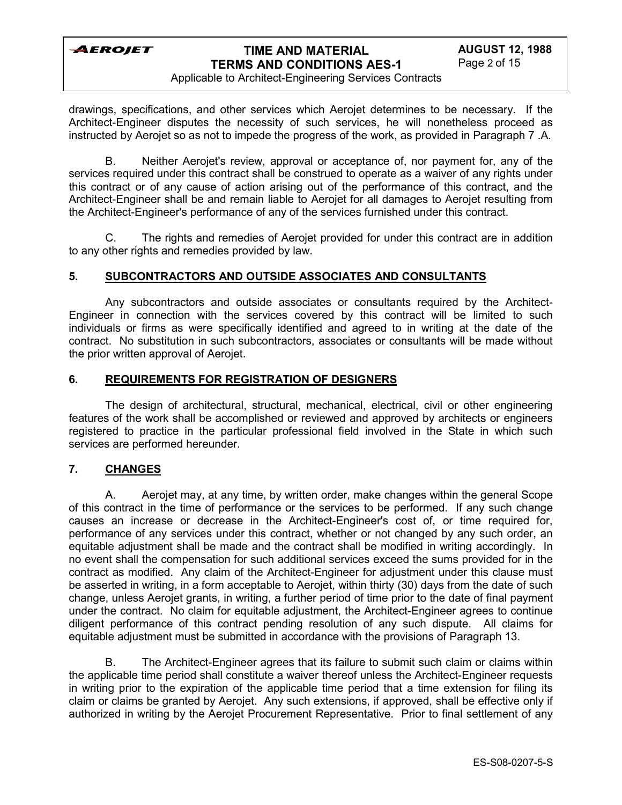## **TIME AND MATERIAL TERMS AND CONDITIONS AES-1**

Applicable to Architect-Engineering Services Contracts

drawings, specifications, and other services which Aerojet determines to be necessary. If the Architect-Engineer disputes the necessity of such services, he will nonetheless proceed as instructed by Aerojet so as not to impede the progress of the work, as provided in Paragraph 7 .A.

B. Neither Aerojet's review, approval or acceptance of, nor payment for, any of the services required under this contract shall be construed to operate as a waiver of any rights under this contract or of any cause of action arising out of the performance of this contract, and the Architect-Engineer shall be and remain liable to Aerojet for all damages to Aerojet resulting from the Architect-Engineer's performance of any of the services furnished under this contract.

C. The rights and remedies of Aerojet provided for under this contract are in addition to any other rights and remedies provided by law.

### **5. SUBCONTRACTORS AND OUTSIDE ASSOCIATES AND CONSULTANTS**

Any subcontractors and outside associates or consultants required by the Architect-Engineer in connection with the services covered by this contract will be limited to such individuals or firms as were specifically identified and agreed to in writing at the date of the contract. No substitution in such subcontractors, associates or consultants will be made without the prior written approval of Aerojet.

#### **6. REQUIREMENTS FOR REGISTRATION OF DESIGNERS**

The design of architectural, structural, mechanical, electrical, civil or other engineering features of the work shall be accomplished or reviewed and approved by architects or engineers registered to practice in the particular professional field involved in the State in which such services are performed hereunder.

### **7. CHANGES**

A. Aerojet may, at any time, by written order, make changes within the general Scope of this contract in the time of performance or the services to be performed. If any such change causes an increase or decrease in the Architect-Engineer's cost of, or time required for, performance of any services under this contract, whether or not changed by any such order, an equitable adjustment shall be made and the contract shall be modified in writing accordingly. In no event shall the compensation for such additional services exceed the sums provided for in the contract as modified. Any claim of the Architect-Engineer for adjustment under this clause must be asserted in writing, in a form acceptable to Aerojet, within thirty (30) days from the date of such change, unless Aerojet grants, in writing, a further period of time prior to the date of final payment under the contract. No claim for equitable adjustment, the Architect-Engineer agrees to continue diligent performance of this contract pending resolution of any such dispute. All claims for equitable adjustment must be submitted in accordance with the provisions of Paragraph 13.

B. The Architect-Engineer agrees that its failure to submit such claim or claims within the applicable time period shall constitute a waiver thereof unless the Architect-Engineer requests in writing prior to the expiration of the applicable time period that a time extension for filing its claim or claims be granted by Aerojet. Any such extensions, if approved, shall be effective only if authorized in writing by the Aerojet Procurement Representative. Prior to final settlement of any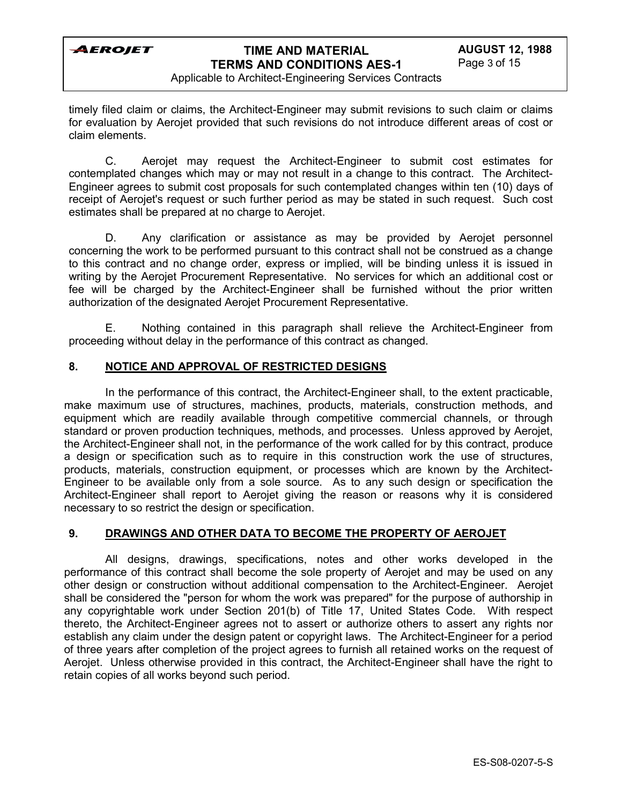

Applicable to Architect-Engineering Services Contracts

timely filed claim or claims, the Architect-Engineer may submit revisions to such claim or claims for evaluation by Aerojet provided that such revisions do not introduce different areas of cost or claim elements.

C. Aerojet may request the Architect-Engineer to submit cost estimates for contemplated changes which may or may not result in a change to this contract. The Architect-Engineer agrees to submit cost proposals for such contemplated changes within ten (10) days of receipt of Aerojet's request or such further period as may be stated in such request. Such cost estimates shall be prepared at no charge to Aerojet.

D. Any clarification or assistance as may be provided by Aerojet personnel concerning the work to be performed pursuant to this contract shall not be construed as a change to this contract and no change order, express or implied, will be binding unless it is issued in writing by the Aerojet Procurement Representative. No services for which an additional cost or fee will be charged by the Architect-Engineer shall be furnished without the prior written authorization of the designated Aerojet Procurement Representative.

E. Nothing contained in this paragraph shall relieve the Architect-Engineer from proceeding without delay in the performance of this contract as changed.

## **8. NOTICE AND APPROVAL OF RESTRICTED DESIGNS**

In the performance of this contract, the Architect-Engineer shall, to the extent practicable, make maximum use of structures, machines, products, materials, construction methods, and equipment which are readily available through competitive commercial channels, or through standard or proven production techniques, methods, and processes. Unless approved by Aerojet, the Architect-Engineer shall not, in the performance of the work called for by this contract, produce a design or specification such as to require in this construction work the use of structures, products, materials, construction equipment, or processes which are known by the Architect-Engineer to be available only from a sole source. As to any such design or specification the Architect-Engineer shall report to Aerojet giving the reason or reasons why it is considered necessary to so restrict the design or specification.

### **9. DRAWINGS AND OTHER DATA TO BECOME THE PROPERTY OF AEROJET**

All designs, drawings, specifications, notes and other works developed in the performance of this contract shall become the sole property of Aerojet and may be used on any other design or construction without additional compensation to the Architect-Engineer. Aerojet shall be considered the "person for whom the work was prepared" for the purpose of authorship in any copyrightable work under Section 201(b) of Title 17, United States Code. With respect thereto, the Architect-Engineer agrees not to assert or authorize others to assert any rights nor establish any claim under the design patent or copyright laws. The Architect-Engineer for a period of three years after completion of the project agrees to furnish all retained works on the request of Aerojet. Unless otherwise provided in this contract, the Architect-Engineer shall have the right to retain copies of all works beyond such period.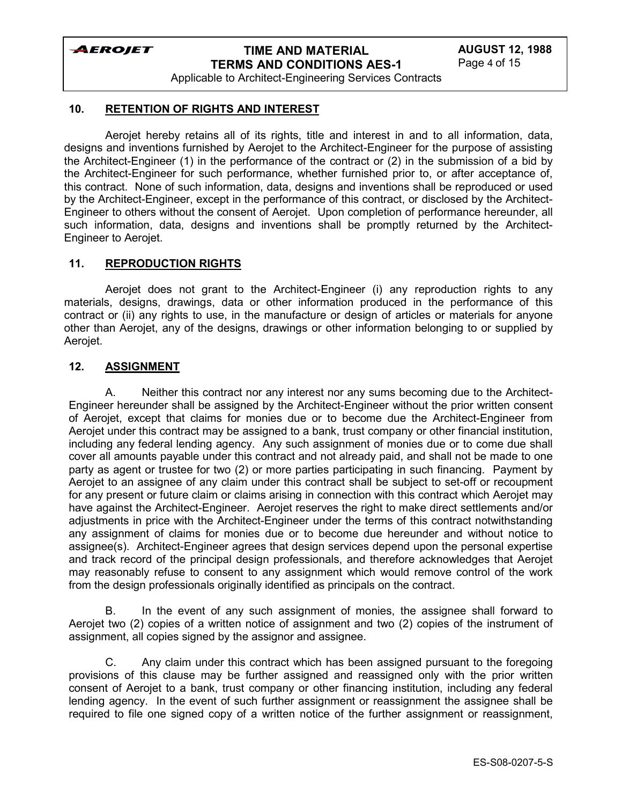# **TIME AND MATERIAL TERMS AND CONDITIONS AES-1**

Applicable to Architect-Engineering Services Contracts

### **10. RETENTION OF RIGHTS AND INTEREST**

Aerojet hereby retains all of its rights, title and interest in and to all information, data, designs and inventions furnished by Aerojet to the Architect-Engineer for the purpose of assisting the Architect-Engineer (1) in the performance of the contract or (2) in the submission of a bid by the Architect-Engineer for such performance, whether furnished prior to, or after acceptance of, this contract. None of such information, data, designs and inventions shall be reproduced or used by the Architect-Engineer, except in the performance of this contract, or disclosed by the Architect-Engineer to others without the consent of Aerojet. Upon completion of performance hereunder, all such information, data, designs and inventions shall be promptly returned by the Architect-Engineer to Aerojet.

### **11. REPRODUCTION RIGHTS**

Aerojet does not grant to the Architect-Engineer (i) any reproduction rights to any materials, designs, drawings, data or other information produced in the performance of this contract or (ii) any rights to use, in the manufacture or design of articles or materials for anyone other than Aerojet, any of the designs, drawings or other information belonging to or supplied by Aerojet.

#### **12. ASSIGNMENT**

A. Neither this contract nor any interest nor any sums becoming due to the Architect-Engineer hereunder shall be assigned by the Architect-Engineer without the prior written consent of Aerojet, except that claims for monies due or to become due the Architect-Engineer from Aerojet under this contract may be assigned to a bank, trust company or other financial institution, including any federal lending agency. Any such assignment of monies due or to come due shall cover all amounts payable under this contract and not already paid, and shall not be made to one party as agent or trustee for two (2) or more parties participating in such financing. Payment by Aerojet to an assignee of any claim under this contract shall be subject to set-off or recoupment for any present or future claim or claims arising in connection with this contract which Aerojet may have against the Architect-Engineer. Aerojet reserves the right to make direct settlements and/or adjustments in price with the Architect-Engineer under the terms of this contract notwithstanding any assignment of claims for monies due or to become due hereunder and without notice to assignee(s). Architect-Engineer agrees that design services depend upon the personal expertise and track record of the principal design professionals, and therefore acknowledges that Aerojet may reasonably refuse to consent to any assignment which would remove control of the work from the design professionals originally identified as principals on the contract.

B. In the event of any such assignment of monies, the assignee shall forward to Aerojet two (2) copies of a written notice of assignment and two (2) copies of the instrument of assignment, all copies signed by the assignor and assignee.

C. Any claim under this contract which has been assigned pursuant to the foregoing provisions of this clause may be further assigned and reassigned only with the prior written consent of Aerojet to a bank, trust company or other financing institution, including any federal lending agency. In the event of such further assignment or reassignment the assignee shall be required to file one signed copy of a written notice of the further assignment or reassignment,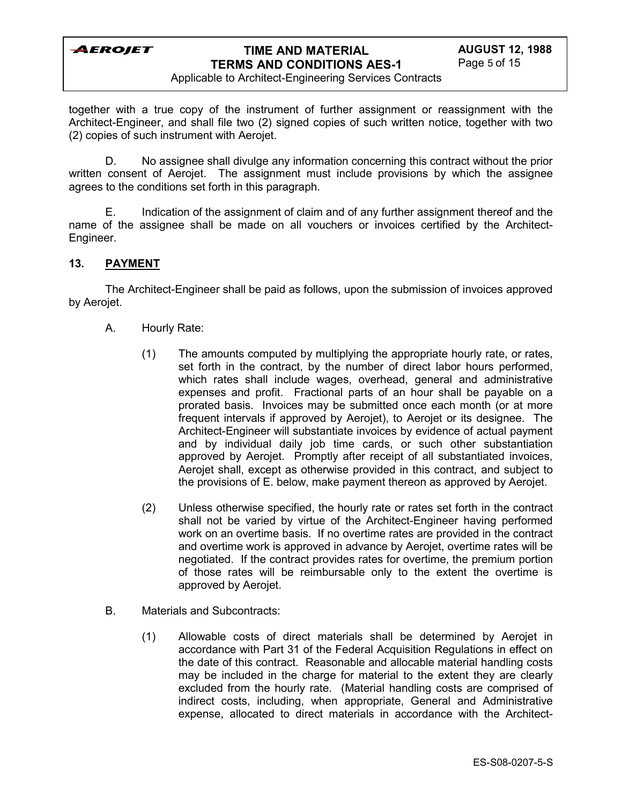

Applicable to Architect-Engineering Services Contracts

together with a true copy of the instrument of further assignment or reassignment with the Architect-Engineer, and shall file two (2) signed copies of such written notice, together with two (2) copies of such instrument with Aerojet.

D. No assignee shall divulge any information concerning this contract without the prior written consent of Aerojet. The assignment must include provisions by which the assignee agrees to the conditions set forth in this paragraph.

E. Indication of the assignment of claim and of any further assignment thereof and the name of the assignee shall be made on all vouchers or invoices certified by the Architect-Engineer.

### **13. PAYMENT**

The Architect-Engineer shall be paid as follows, upon the submission of invoices approved by Aerojet.

- A. Hourly Rate:
	- (1) The amounts computed by multiplying the appropriate hourly rate, or rates, set forth in the contract, by the number of direct labor hours performed, which rates shall include wages, overhead, general and administrative expenses and profit. Fractional parts of an hour shall be payable on a prorated basis. Invoices may be submitted once each month (or at more frequent intervals if approved by Aerojet), to Aerojet or its designee. The Architect-Engineer will substantiate invoices by evidence of actual payment and by individual daily job time cards, or such other substantiation approved by Aerojet. Promptly after receipt of all substantiated invoices, Aerojet shall, except as otherwise provided in this contract, and subject to the provisions of E. below, make payment thereon as approved by Aerojet.
	- (2) Unless otherwise specified, the hourly rate or rates set forth in the contract shall not be varied by virtue of the Architect-Engineer having performed work on an overtime basis. If no overtime rates are provided in the contract and overtime work is approved in advance by Aerojet, overtime rates will be negotiated. If the contract provides rates for overtime, the premium portion of those rates will be reimbursable only to the extent the overtime is approved by Aerojet.
- B. Materials and Subcontracts:
	- (1) Allowable costs of direct materials shall be determined by Aerojet in accordance with Part 31 of the Federal Acquisition Regulations in effect on the date of this contract. Reasonable and allocable material handling costs may be included in the charge for material to the extent they are clearly excluded from the hourly rate. (Material handling costs are comprised of indirect costs, including, when appropriate, General and Administrative expense, allocated to direct materials in accordance with the Architect-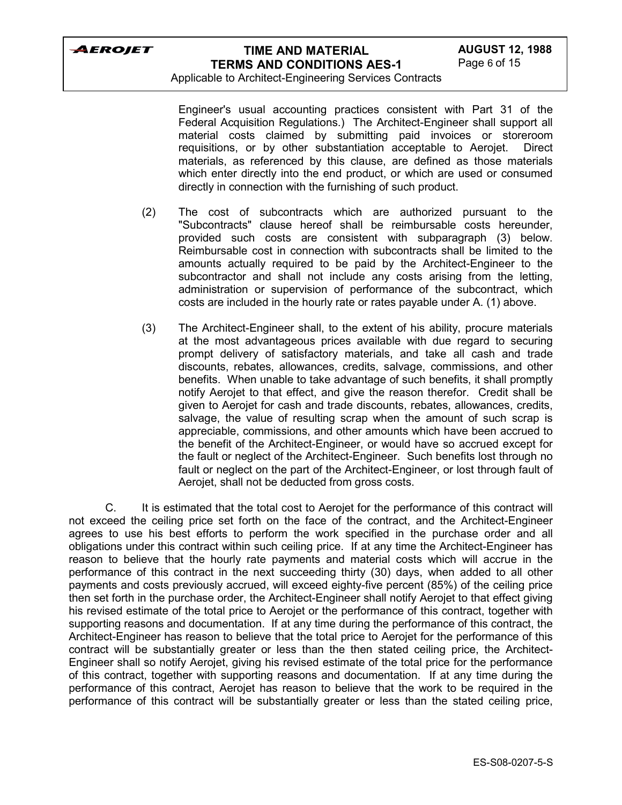

Applicable to Architect-Engineering Services Contracts

Engineer's usual accounting practices consistent with Part 31 of the Federal Acquisition Regulations.) The Architect-Engineer shall support all material costs claimed by submitting paid invoices or storeroom requisitions, or by other substantiation acceptable to Aerojet. Direct materials, as referenced by this clause, are defined as those materials which enter directly into the end product, or which are used or consumed directly in connection with the furnishing of such product.

- (2) The cost of subcontracts which are authorized pursuant to the "Subcontracts" clause hereof shall be reimbursable costs hereunder, provided such costs are consistent with subparagraph (3) below. Reimbursable cost in connection with subcontracts shall be limited to the amounts actually required to be paid by the Architect-Engineer to the subcontractor and shall not include any costs arising from the letting, administration or supervision of performance of the subcontract, which costs are included in the hourly rate or rates payable under A. (1) above.
- (3) The Architect-Engineer shall, to the extent of his ability, procure materials at the most advantageous prices available with due regard to securing prompt delivery of satisfactory materials, and take all cash and trade discounts, rebates, allowances, credits, salvage, commissions, and other benefits. When unable to take advantage of such benefits, it shall promptly notify Aerojet to that effect, and give the reason therefor. Credit shall be given to Aerojet for cash and trade discounts, rebates, allowances, credits, salvage, the value of resulting scrap when the amount of such scrap is appreciable, commissions, and other amounts which have been accrued to the benefit of the Architect-Engineer, or would have so accrued except for the fault or neglect of the Architect-Engineer. Such benefits lost through no fault or neglect on the part of the Architect-Engineer, or lost through fault of Aerojet, shall not be deducted from gross costs.

C. It is estimated that the total cost to Aerojet for the performance of this contract will not exceed the ceiling price set forth on the face of the contract, and the Architect-Engineer agrees to use his best efforts to perform the work specified in the purchase order and all obligations under this contract within such ceiling price. If at any time the Architect-Engineer has reason to believe that the hourly rate payments and material costs which will accrue in the performance of this contract in the next succeeding thirty (30) days, when added to all other payments and costs previously accrued, will exceed eighty-five percent (85%) of the ceiling price then set forth in the purchase order, the Architect-Engineer shall notify Aerojet to that effect giving his revised estimate of the total price to Aerojet or the performance of this contract, together with supporting reasons and documentation. If at any time during the performance of this contract, the Architect-Engineer has reason to believe that the total price to Aerojet for the performance of this contract will be substantially greater or less than the then stated ceiling price, the Architect-Engineer shall so notify Aerojet, giving his revised estimate of the total price for the performance of this contract, together with supporting reasons and documentation. If at any time during the performance of this contract, Aerojet has reason to believe that the work to be required in the performance of this contract will be substantially greater or less than the stated ceiling price,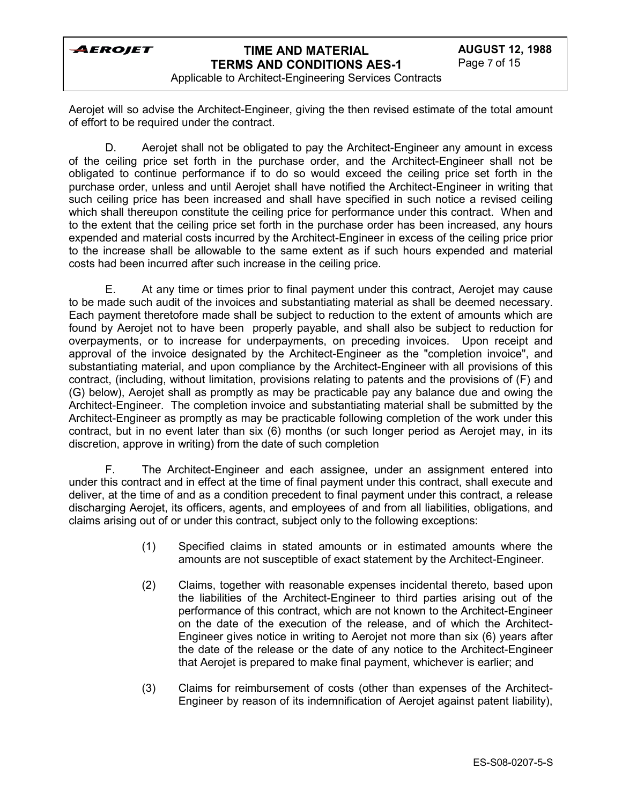

Applicable to Architect-Engineering Services Contracts

Aerojet will so advise the Architect-Engineer, giving the then revised estimate of the total amount of effort to be required under the contract.

D. Aerojet shall not be obligated to pay the Architect-Engineer any amount in excess of the ceiling price set forth in the purchase order, and the Architect-Engineer shall not be obligated to continue performance if to do so would exceed the ceiling price set forth in the purchase order, unless and until Aerojet shall have notified the Architect-Engineer in writing that such ceiling price has been increased and shall have specified in such notice a revised ceiling which shall thereupon constitute the ceiling price for performance under this contract. When and to the extent that the ceiling price set forth in the purchase order has been increased, any hours expended and material costs incurred by the Architect-Engineer in excess of the ceiling price prior to the increase shall be allowable to the same extent as if such hours expended and material costs had been incurred after such increase in the ceiling price.

E. At any time or times prior to final payment under this contract, Aerojet may cause to be made such audit of the invoices and substantiating material as shall be deemed necessary. Each payment theretofore made shall be subject to reduction to the extent of amounts which are found by Aerojet not to have been properly payable, and shall also be subject to reduction for overpayments, or to increase for underpayments, on preceding invoices. Upon receipt and approval of the invoice designated by the Architect-Engineer as the "completion invoice", and substantiating material, and upon compliance by the Architect-Engineer with all provisions of this contract, (including, without limitation, provisions relating to patents and the provisions of (F) and (G) below), Aerojet shall as promptly as may be practicable pay any balance due and owing the Architect-Engineer. The completion invoice and substantiating material shall be submitted by the Architect-Engineer as promptly as may be practicable following completion of the work under this contract, but in no event later than six (6) months (or such longer period as Aerojet may, in its discretion, approve in writing) from the date of such completion

F. The Architect-Engineer and each assignee, under an assignment entered into under this contract and in effect at the time of final payment under this contract, shall execute and deliver, at the time of and as a condition precedent to final payment under this contract, a release discharging Aerojet, its officers, agents, and employees of and from all liabilities, obligations, and claims arising out of or under this contract, subject only to the following exceptions:

- (1) Specified claims in stated amounts or in estimated amounts where the amounts are not susceptible of exact statement by the Architect-Engineer.
- (2) Claims, together with reasonable expenses incidental thereto, based upon the liabilities of the Architect-Engineer to third parties arising out of the performance of this contract, which are not known to the Architect-Engineer on the date of the execution of the release, and of which the Architect-Engineer gives notice in writing to Aerojet not more than six (6) years after the date of the release or the date of any notice to the Architect-Engineer that Aerojet is prepared to make final payment, whichever is earlier; and
- (3) Claims for reimbursement of costs (other than expenses of the Architect-Engineer by reason of its indemnification of Aerojet against patent liability),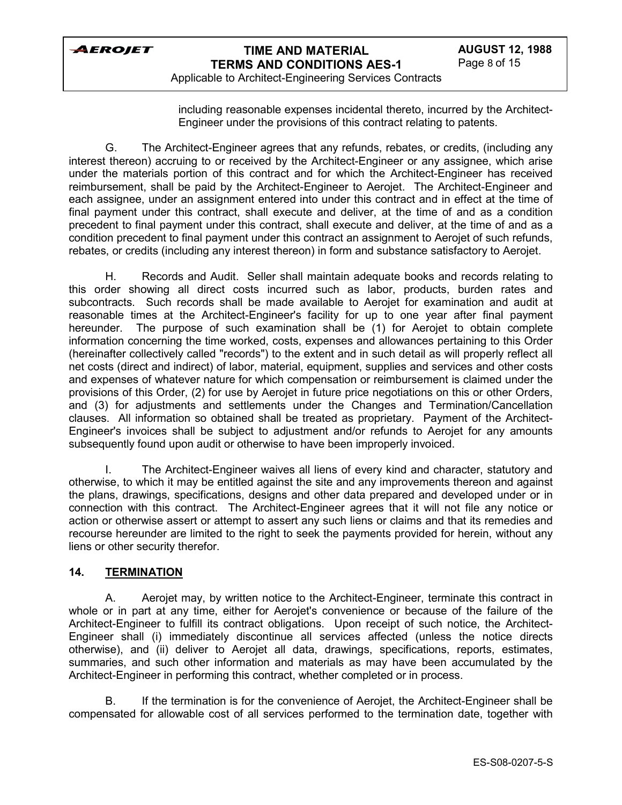

Applicable to Architect-Engineering Services Contracts

including reasonable expenses incidental thereto, incurred by the Architect-Engineer under the provisions of this contract relating to patents.

G. The Architect-Engineer agrees that any refunds, rebates, or credits, (including any interest thereon) accruing to or received by the Architect-Engineer or any assignee, which arise under the materials portion of this contract and for which the Architect-Engineer has received reimbursement, shall be paid by the Architect-Engineer to Aerojet. The Architect-Engineer and each assignee, under an assignment entered into under this contract and in effect at the time of final payment under this contract, shall execute and deliver, at the time of and as a condition precedent to final payment under this contract, shall execute and deliver, at the time of and as a condition precedent to final payment under this contract an assignment to Aerojet of such refunds, rebates, or credits (including any interest thereon) in form and substance satisfactory to Aerojet.

H. Records and Audit. Seller shall maintain adequate books and records relating to this order showing all direct costs incurred such as labor, products, burden rates and subcontracts. Such records shall be made available to Aerojet for examination and audit at reasonable times at the Architect-Engineer's facility for up to one year after final payment hereunder. The purpose of such examination shall be (1) for Aerojet to obtain complete information concerning the time worked, costs, expenses and allowances pertaining to this Order (hereinafter collectively called "records") to the extent and in such detail as will properly reflect all net costs (direct and indirect) of labor, material, equipment, supplies and services and other costs and expenses of whatever nature for which compensation or reimbursement is claimed under the provisions of this Order, (2) for use by Aerojet in future price negotiations on this or other Orders, and (3) for adjustments and settlements under the Changes and Termination/Cancellation clauses. All information so obtained shall be treated as proprietary. Payment of the Architect-Engineer's invoices shall be subject to adjustment and/or refunds to Aerojet for any amounts subsequently found upon audit or otherwise to have been improperly invoiced.

The Architect-Engineer waives all liens of every kind and character, statutory and otherwise, to which it may be entitled against the site and any improvements thereon and against the plans, drawings, specifications, designs and other data prepared and developed under or in connection with this contract. The Architect-Engineer agrees that it will not file any notice or action or otherwise assert or attempt to assert any such liens or claims and that its remedies and recourse hereunder are limited to the right to seek the payments provided for herein, without any liens or other security therefor.

### **14. TERMINATION**

A. Aerojet may, by written notice to the Architect-Engineer, terminate this contract in whole or in part at any time, either for Aerojet's convenience or because of the failure of the Architect-Engineer to fulfill its contract obligations. Upon receipt of such notice, the Architect-Engineer shall (i) immediately discontinue all services affected (unless the notice directs otherwise), and (ii) deliver to Aerojet all data, drawings, specifications, reports, estimates, summaries, and such other information and materials as may have been accumulated by the Architect-Engineer in performing this contract, whether completed or in process.

B. If the termination is for the convenience of Aerojet, the Architect-Engineer shall be compensated for allowable cost of all services performed to the termination date, together with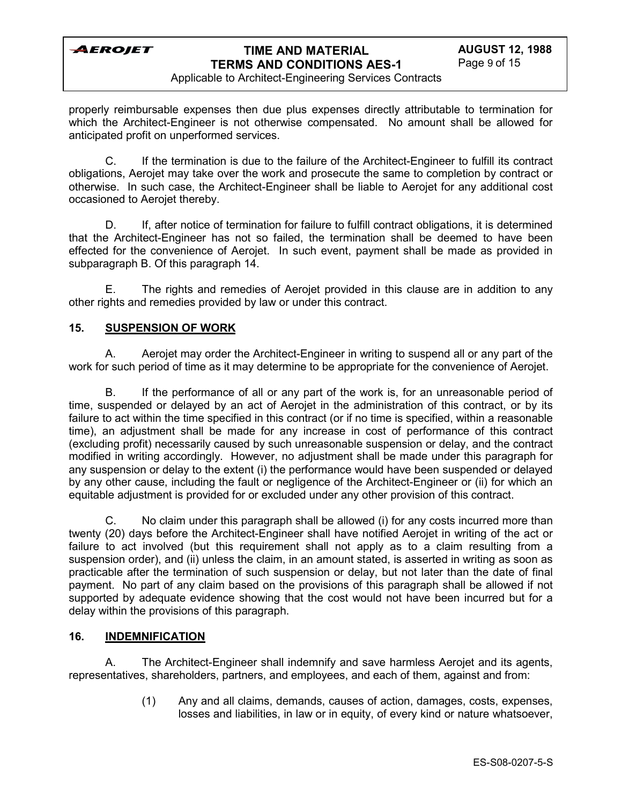

Applicable to Architect-Engineering Services Contracts

properly reimbursable expenses then due plus expenses directly attributable to termination for which the Architect-Engineer is not otherwise compensated. No amount shall be allowed for anticipated profit on unperformed services.

C. If the termination is due to the failure of the Architect-Engineer to fulfill its contract obligations, Aerojet may take over the work and prosecute the same to completion by contract or otherwise. In such case, the Architect-Engineer shall be liable to Aerojet for any additional cost occasioned to Aerojet thereby.

D. If, after notice of termination for failure to fulfill contract obligations, it is determined that the Architect-Engineer has not so failed, the termination shall be deemed to have been effected for the convenience of Aerojet. In such event, payment shall be made as provided in subparagraph B. Of this paragraph 14.

E. The rights and remedies of Aerojet provided in this clause are in addition to any other rights and remedies provided by law or under this contract.

### **15. SUSPENSION OF WORK**

A. Aerojet may order the Architect-Engineer in writing to suspend all or any part of the work for such period of time as it may determine to be appropriate for the convenience of Aerojet.

B. If the performance of all or any part of the work is, for an unreasonable period of time, suspended or delayed by an act of Aerojet in the administration of this contract, or by its failure to act within the time specified in this contract (or if no time is specified, within a reasonable time), an adjustment shall be made for any increase in cost of performance of this contract (excluding profit) necessarily caused by such unreasonable suspension or delay, and the contract modified in writing accordingly. However, no adjustment shall be made under this paragraph for any suspension or delay to the extent (i) the performance would have been suspended or delayed by any other cause, including the fault or negligence of the Architect-Engineer or (ii) for which an equitable adjustment is provided for or excluded under any other provision of this contract.

C. No claim under this paragraph shall be allowed (i) for any costs incurred more than twenty (20) days before the Architect-Engineer shall have notified Aerojet in writing of the act or failure to act involved (but this requirement shall not apply as to a claim resulting from a suspension order), and (ii) unless the claim, in an amount stated, is asserted in writing as soon as practicable after the termination of such suspension or delay, but not later than the date of final payment. No part of any claim based on the provisions of this paragraph shall be allowed if not supported by adequate evidence showing that the cost would not have been incurred but for a delay within the provisions of this paragraph.

### **16. INDEMNIFICATION**

A. The Architect-Engineer shall indemnify and save harmless Aerojet and its agents, representatives, shareholders, partners, and employees, and each of them, against and from:

> (1) Any and all claims, demands, causes of action, damages, costs, expenses, losses and liabilities, in law or in equity, of every kind or nature whatsoever,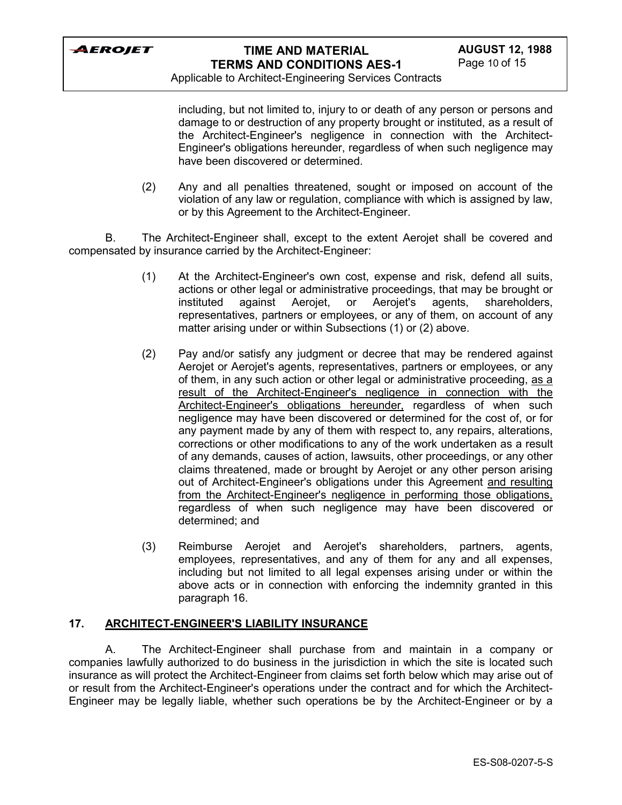

Applicable to Architect-Engineering Services Contracts

including, but not limited to, injury to or death of any person or persons and damage to or destruction of any property brought or instituted, as a result of the Architect-Engineer's negligence in connection with the Architect-Engineer's obligations hereunder, regardless of when such negligence may have been discovered or determined.

(2) Any and all penalties threatened, sought or imposed on account of the violation of any law or regulation, compliance with which is assigned by law, or by this Agreement to the Architect-Engineer.

B. The Architect-Engineer shall, except to the extent Aerojet shall be covered and compensated by insurance carried by the Architect-Engineer:

- (1) At the Architect-Engineer's own cost, expense and risk, defend all suits, actions or other legal or administrative proceedings, that may be brought or instituted against Aerojet, or Aerojet's agents, shareholders, representatives, partners or employees, or any of them, on account of any matter arising under or within Subsections (1) or (2) above.
- (2) Pay and/or satisfy any judgment or decree that may be rendered against Aerojet or Aerojet's agents, representatives, partners or employees, or any of them, in any such action or other legal or administrative proceeding, as a result of the Architect-Engineer's negligence in connection with the Architect-Engineer's obligations hereunder, regardless of when such negligence may have been discovered or determined for the cost of, or for any payment made by any of them with respect to, any repairs, alterations, corrections or other modifications to any of the work undertaken as a result of any demands, causes of action, lawsuits, other proceedings, or any other claims threatened, made or brought by Aerojet or any other person arising out of Architect-Engineer's obligations under this Agreement and resulting from the Architect-Engineer's negligence in performing those obligations, regardless of when such negligence may have been discovered or determined; and
- (3) Reimburse Aerojet and Aerojet's shareholders, partners, agents, employees, representatives, and any of them for any and all expenses, including but not limited to all legal expenses arising under or within the above acts or in connection with enforcing the indemnity granted in this paragraph 16.

### **17. ARCHITECT-ENGINEER'S LIABILITY INSURANCE**

A. The Architect-Engineer shall purchase from and maintain in a company or companies lawfully authorized to do business in the jurisdiction in which the site is located such insurance as will protect the Architect-Engineer from claims set forth below which may arise out of or result from the Architect-Engineer's operations under the contract and for which the Architect-Engineer may be legally liable, whether such operations be by the Architect-Engineer or by a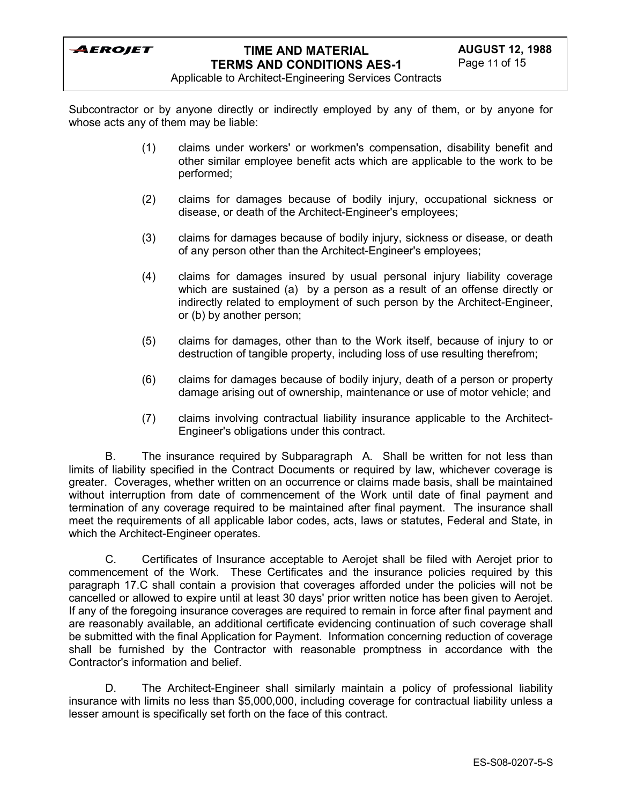

Applicable to Architect-Engineering Services Contracts

Subcontractor or by anyone directly or indirectly employed by any of them, or by anyone for whose acts any of them may be liable:

- (1) claims under workers' or workmen's compensation, disability benefit and other similar employee benefit acts which are applicable to the work to be performed;
- (2) claims for damages because of bodily injury, occupational sickness or disease, or death of the Architect-Engineer's employees;
- (3) claims for damages because of bodily injury, sickness or disease, or death of any person other than the Architect-Engineer's employees;
- (4) claims for damages insured by usual personal injury liability coverage which are sustained (a) by a person as a result of an offense directly or indirectly related to employment of such person by the Architect-Engineer, or (b) by another person;
- (5) claims for damages, other than to the Work itself, because of injury to or destruction of tangible property, including loss of use resulting therefrom;
- (6) claims for damages because of bodily injury, death of a person or property damage arising out of ownership, maintenance or use of motor vehicle; and
- (7) claims involving contractual liability insurance applicable to the Architect-Engineer's obligations under this contract.

B. The insurance required by Subparagraph A. Shall be written for not less than limits of liability specified in the Contract Documents or required by law, whichever coverage is greater. Coverages, whether written on an occurrence or claims made basis, shall be maintained without interruption from date of commencement of the Work until date of final payment and termination of any coverage required to be maintained after final payment. The insurance shall meet the requirements of all applicable labor codes, acts, laws or statutes, Federal and State, in which the Architect-Engineer operates.

C. Certificates of Insurance acceptable to Aerojet shall be filed with Aerojet prior to commencement of the Work. These Certificates and the insurance policies required by this paragraph 17.C shall contain a provision that coverages afforded under the policies will not be cancelled or allowed to expire until at least 30 days' prior written notice has been given to Aerojet. If any of the foregoing insurance coverages are required to remain in force after final payment and are reasonably available, an additional certificate evidencing continuation of such coverage shall be submitted with the final Application for Payment. Information concerning reduction of coverage shall be furnished by the Contractor with reasonable promptness in accordance with the Contractor's information and belief.

D. The Architect-Engineer shall similarly maintain a policy of professional liability insurance with limits no less than \$5,000,000, including coverage for contractual liability unless a lesser amount is specifically set forth on the face of this contract.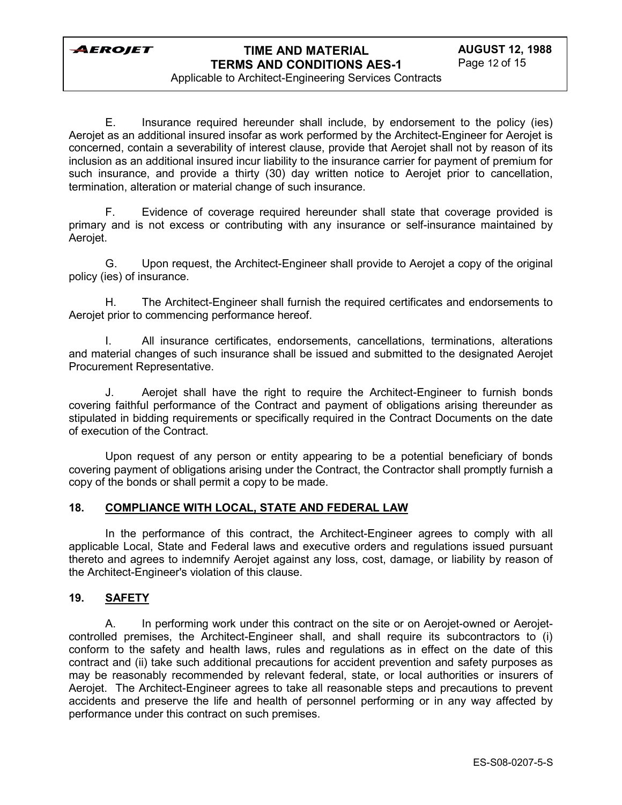Applicable to Architect-Engineering Services Contracts

E. Insurance required hereunder shall include, by endorsement to the policy (ies) Aerojet as an additional insured insofar as work performed by the Architect-Engineer for Aerojet is concerned, contain a severability of interest clause, provide that Aerojet shall not by reason of its inclusion as an additional insured incur liability to the insurance carrier for payment of premium for such insurance, and provide a thirty (30) day written notice to Aerojet prior to cancellation, termination, alteration or material change of such insurance.

F. Evidence of coverage required hereunder shall state that coverage provided is primary and is not excess or contributing with any insurance or self-insurance maintained by Aerojet.

G. Upon request, the Architect-Engineer shall provide to Aerojet a copy of the original policy (ies) of insurance.

H. The Architect-Engineer shall furnish the required certificates and endorsements to Aerojet prior to commencing performance hereof.

All insurance certificates, endorsements, cancellations, terminations, alterations and material changes of such insurance shall be issued and submitted to the designated Aerojet Procurement Representative.

J. Aerojet shall have the right to require the Architect-Engineer to furnish bonds covering faithful performance of the Contract and payment of obligations arising thereunder as stipulated in bidding requirements or specifically required in the Contract Documents on the date of execution of the Contract.

Upon request of any person or entity appearing to be a potential beneficiary of bonds covering payment of obligations arising under the Contract, the Contractor shall promptly furnish a copy of the bonds or shall permit a copy to be made.

### **18. COMPLIANCE WITH LOCAL, STATE AND FEDERAL LAW**

In the performance of this contract, the Architect-Engineer agrees to comply with all applicable Local, State and Federal laws and executive orders and regulations issued pursuant thereto and agrees to indemnify Aerojet against any loss, cost, damage, or liability by reason of the Architect-Engineer's violation of this clause.

### **19. SAFETY**

A. In performing work under this contract on the site or on Aerojet-owned or Aerojetcontrolled premises, the Architect-Engineer shall, and shall require its subcontractors to (i) conform to the safety and health laws, rules and regulations as in effect on the date of this contract and (ii) take such additional precautions for accident prevention and safety purposes as may be reasonably recommended by relevant federal, state, or local authorities or insurers of Aerojet. The Architect-Engineer agrees to take all reasonable steps and precautions to prevent accidents and preserve the life and health of personnel performing or in any way affected by performance under this contract on such premises.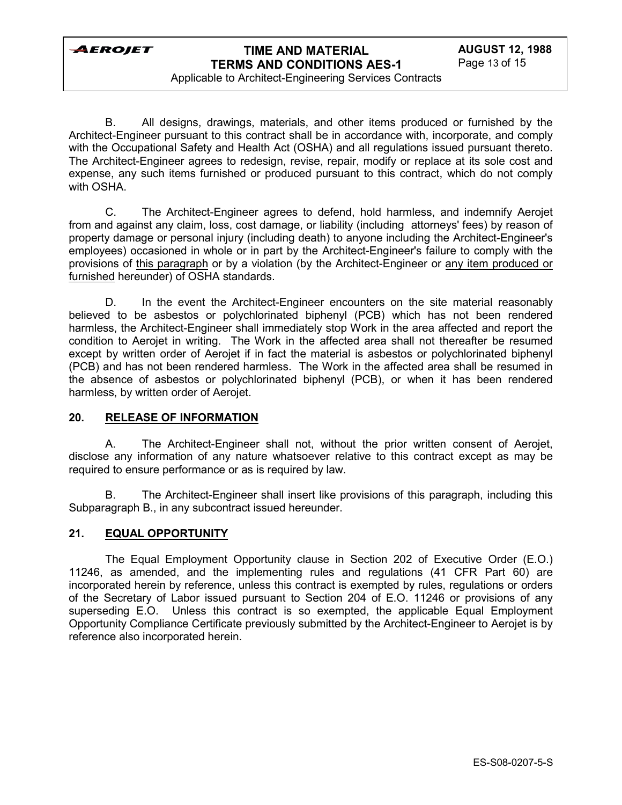# **TIME AND MATERIAL TERMS AND CONDITIONS AES-1**

Applicable to Architect-Engineering Services Contracts

B. All designs, drawings, materials, and other items produced or furnished by the Architect-Engineer pursuant to this contract shall be in accordance with, incorporate, and comply with the Occupational Safety and Health Act (OSHA) and all regulations issued pursuant thereto. The Architect-Engineer agrees to redesign, revise, repair, modify or replace at its sole cost and expense, any such items furnished or produced pursuant to this contract, which do not comply with OSHA.

C. The Architect-Engineer agrees to defend, hold harmless, and indemnify Aerojet from and against any claim, loss, cost damage, or liability (including attorneys' fees) by reason of property damage or personal injury (including death) to anyone including the Architect-Engineer's employees) occasioned in whole or in part by the Architect-Engineer's failure to comply with the provisions of this paragraph or by a violation (by the Architect-Engineer or any item produced or furnished hereunder) of OSHA standards.

D. In the event the Architect-Engineer encounters on the site material reasonably believed to be asbestos or polychlorinated biphenyl (PCB) which has not been rendered harmless, the Architect-Engineer shall immediately stop Work in the area affected and report the condition to Aerojet in writing. The Work in the affected area shall not thereafter be resumed except by written order of Aerojet if in fact the material is asbestos or polychlorinated biphenyl (PCB) and has not been rendered harmless. The Work in the affected area shall be resumed in the absence of asbestos or polychlorinated biphenyl (PCB), or when it has been rendered harmless, by written order of Aerojet.

### **20. RELEASE OF INFORMATION**

A. The Architect-Engineer shall not, without the prior written consent of Aerojet, disclose any information of any nature whatsoever relative to this contract except as may be required to ensure performance or as is required by law.

B. The Architect-Engineer shall insert like provisions of this paragraph, including this Subparagraph B., in any subcontract issued hereunder.

### **21. EQUAL OPPORTUNITY**

The Equal Employment Opportunity clause in Section 202 of Executive Order (E.O.) 11246, as amended, and the implementing rules and regulations (41 CFR Part 60) are incorporated herein by reference, unless this contract is exempted by rules, regulations or orders of the Secretary of Labor issued pursuant to Section 204 of E.O. 11246 or provisions of any superseding E.O. Unless this contract is so exempted, the applicable Equal Employment Opportunity Compliance Certificate previously submitted by the Architect-Engineer to Aerojet is by reference also incorporated herein.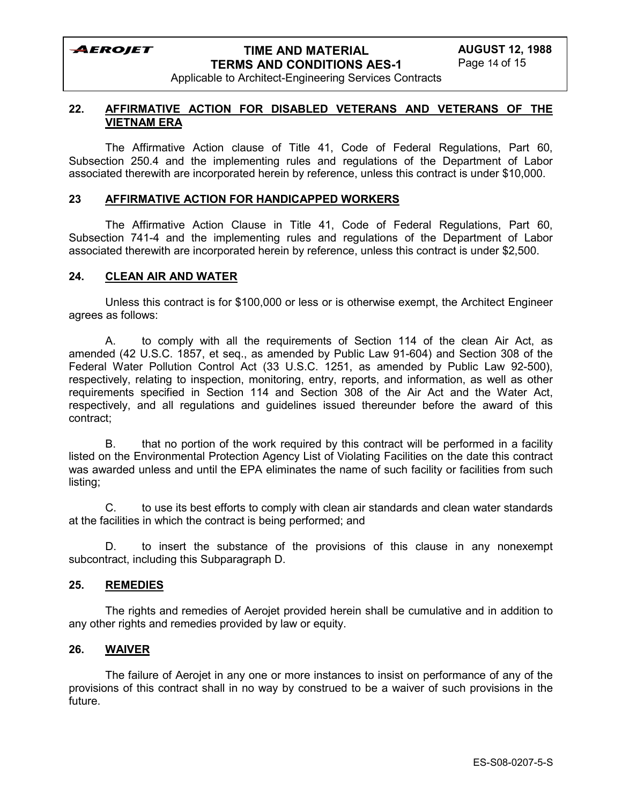# **TIME AND MATERIAL TERMS AND CONDITIONS AES-1**

Applicable to Architect-Engineering Services Contracts

#### **22. AFFIRMATIVE ACTION FOR DISABLED VETERANS AND VETERANS OF THE VIETNAM ERA**

The Affirmative Action clause of Title 41, Code of Federal Regulations, Part 60, Subsection 250.4 and the implementing rules and regulations of the Department of Labor associated therewith are incorporated herein by reference, unless this contract is under \$10,000.

#### **23 AFFIRMATIVE ACTION FOR HANDICAPPED WORKERS**

The Affirmative Action Clause in Title 41, Code of Federal Regulations, Part 60, Subsection 741-4 and the implementing rules and regulations of the Department of Labor associated therewith are incorporated herein by reference, unless this contract is under \$2,500.

#### **24. CLEAN AIR AND WATER**

Unless this contract is for \$100,000 or less or is otherwise exempt, the Architect Engineer agrees as follows:

A. to comply with all the requirements of Section 114 of the clean Air Act, as amended (42 U.S.C. 1857, et seq., as amended by Public Law 91-604) and Section 308 of the Federal Water Pollution Control Act (33 U.S.C. 1251, as amended by Public Law 92-500), respectively, relating to inspection, monitoring, entry, reports, and information, as well as other requirements specified in Section 114 and Section 308 of the Air Act and the Water Act, respectively, and all regulations and guidelines issued thereunder before the award of this contract;

B. that no portion of the work required by this contract will be performed in a facility listed on the Environmental Protection Agency List of Violating Facilities on the date this contract was awarded unless and until the EPA eliminates the name of such facility or facilities from such listing;

C. to use its best efforts to comply with clean air standards and clean water standards at the facilities in which the contract is being performed; and

D. to insert the substance of the provisions of this clause in any nonexempt subcontract, including this Subparagraph D.

### **25. REMEDIES**

The rights and remedies of Aerojet provided herein shall be cumulative and in addition to any other rights and remedies provided by law or equity.

### **26. WAIVER**

The failure of Aerojet in any one or more instances to insist on performance of any of the provisions of this contract shall in no way by construed to be a waiver of such provisions in the future.